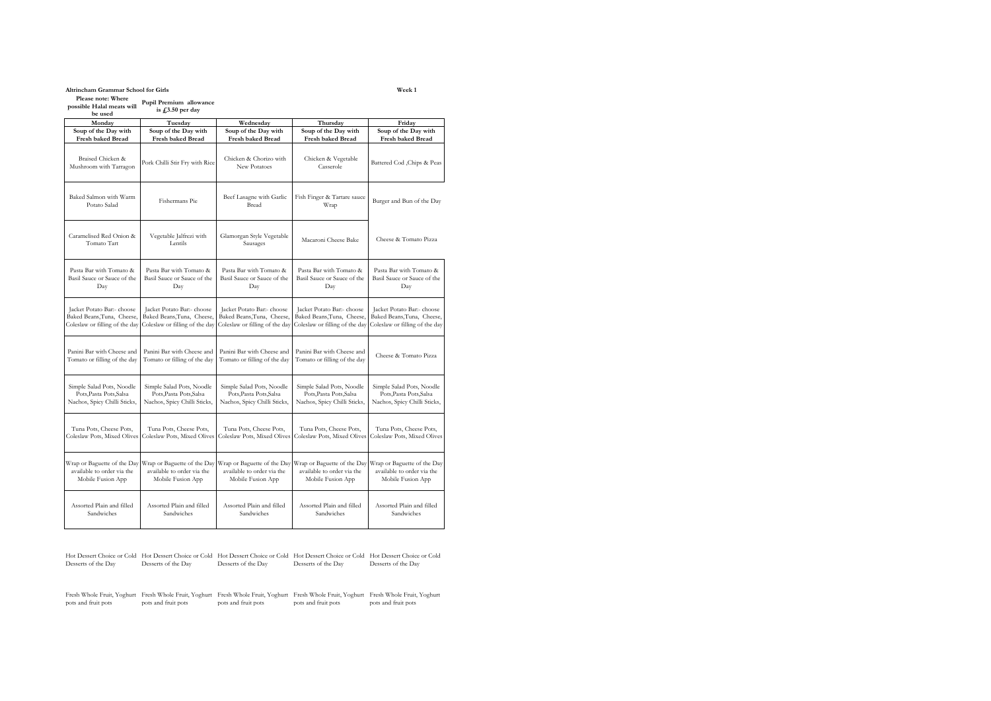# **Altrincham Grammar School for Girls Week 1**

**Please note: Where possible Halal meats will Pupil Premium allowance** 

**be used** is  $\pounds$ 3.50 per day

| Monday                                      | Tuesday                            | Wednesday                              | Thursday                            | Friday                         |
|---------------------------------------------|------------------------------------|----------------------------------------|-------------------------------------|--------------------------------|
| Soup of the Day with                        | Soup of the Day with               | Soup of the Day with                   | Soup of the Day with                | Soup of the Day with           |
| <b>Fresh baked Bread</b>                    | <b>Fresh baked Bread</b>           | <b>Fresh baked Bread</b>               | <b>Fresh baked Bread</b>            | <b>Fresh baked Bread</b>       |
| Braised Chicken &<br>Mushroom with Tarragon | Pork Chilli Stir Fry with Rice     | Chicken & Chorizo with<br>New Potatoes | Chicken & Vegetable<br>Casserole    | Battered Cod , Chips & Peas    |
| Baked Salmon with Warm<br>Potato Salad      | Fishermans Pie                     | Beef Lasagne with Garlic<br>Bread      | Fish Finger & Tartare sauce<br>Wrap | Burger and Bun of the Day      |
| Caramelised Red Onion &<br>Tomato Tart      | Vegetable Jalfrezi with<br>Lentils | Glamorgan Style Vegetable<br>Sausages  | Macaroni Cheese Bake                | Cheese & Tomato Pizza          |
| Pasta Bar with Tomato &                     | Pasta Bar with Tomato &            | Pasta Bar with Tomato &                | Pasta Bar with Tomato &             | Pasta Bar with Tomato &        |
| Basil Sauce or Sauce of the                 | Basil Sauce or Sauce of the        | Basil Sauce or Sauce of the            | Basil Sauce or Sauce of the         | Basil Sauce or Sauce of the    |
| Day                                         | Day                                | Day                                    | Day                                 | Day                            |
| Jacket Potato Bar:- choose                  | Jacket Potato Bar:- choose         | Jacket Potato Bar:- choose             | Jacket Potato Bar:- choose          | Jacket Potato Bar:- choose     |
| Baked Beans, Tuna, Cheese,                  | Baked Beans, Tuna, Cheese,         | Baked Beans, Tuna, Cheese,             | Baked Beans, Tuna, Cheese,          | Baked Beans, Tuna, Cheese,     |
| Coleslaw or filling of the day              | Coleslaw or filling of the day     | Coleslaw or filling of the day         | Coleslaw or filling of the day      | Coleslaw or filling of the day |
| Panini Bar with Cheese and                  | Panini Bar with Cheese and         | Panini Bar with Cheese and             | Panini Bar with Cheese and          | Cheese & Tomato Pizza          |
| Tomato or filling of the day                | Tomato or filling of the day       | Tomato or filling of the day           | Tomato or filling of the day        |                                |
| Simple Salad Pots, Noodle                   | Simple Salad Pots, Noodle          | Simple Salad Pots, Noodle              | Simple Salad Pots, Noodle           | Simple Salad Pots, Noodle      |
| Pots, Pasta Pots, Salsa                     | Pots, Pasta Pots, Salsa            | Pots, Pasta Pots, Salsa                | Pots, Pasta Pots, Salsa             | Pots, Pasta Pots, Salsa        |
| Nachos, Spicy Chilli Sticks,                | Nachos, Spicy Chilli Sticks,       | Nachos, Spicy Chilli Sticks,           | Nachos, Spicy Chilli Sticks,        | Nachos, Spicy Chilli Sticks,   |
| Tuna Pots, Cheese Pots,                     | Tuna Pots, Cheese Pots,            | Tuna Pots, Cheese Pots,                | Tuna Pots, Cheese Pots,             | Tuna Pots, Cheese Pots,        |
| Coleslaw Pots, Mixed Olives                 | Coleslaw Pots, Mixed Olives        | Coleslaw Pots, Mixed Olives            | Coleslaw Pots, Mixed Olives         | Coleslaw Pots, Mixed Olives    |
| Wrap or Baguette of the Day                 | Wrap or Baguette of the Day        | Wrap or Baguette of the Day            | Wrap or Baguette of the Day         | Wrap or Baguette of the Day    |
| available to order via the                  | available to order via the         | available to order via the             | available to order via the          | available to order via the     |
| Mobile Fusion App                           | Mobile Fusion App                  | Mobile Fusion App                      | Mobile Fusion App                   | Mobile Fusion App              |
| Assorted Plain and filled                   | Assorted Plain and filled          | Assorted Plain and filled              | Assorted Plain and filled           | Assorted Plain and filled      |
| Sandwiches                                  | Sandwiches                         | Sandwiches                             | Sandwiches                          | Sandwiches                     |

Hot Dessert Choice or Cold Hot Dessert Choice or Cold Hot Dessert Choice or Cold Hot Dessert Choice or Cold Hot Dessert Choice or Cold Desserts of the Day Desserts of the Day Desserts of the Day Desserts of the Day Desserts of the Day

Fresh Whole Fruit, Yoghurt Fresh Whole Fruit, Yoghurt Fresh Whole Fruit, Yoghurt Fresh Whole Fruit, Yoghurt Fresh Whole Fruit, Yoghurt pots and fruit pots pots and fruit pots pots and fruit pots pots and fruit pots pots and fruit pots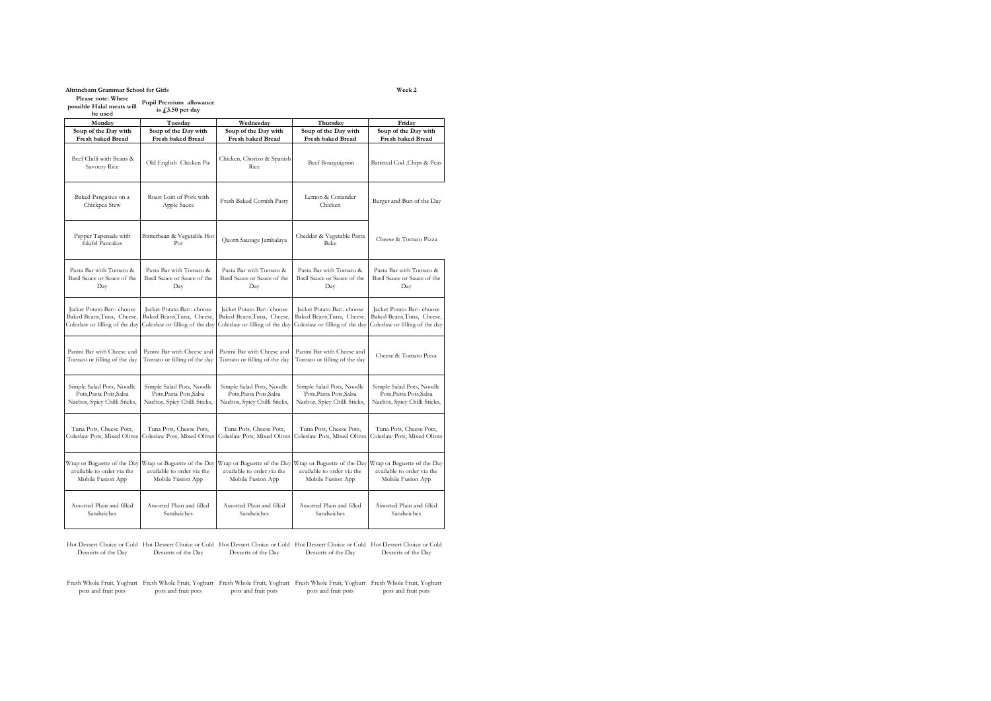**Altrincham Grammar School for Girls Week 2 Please note: Where possible Halal meats will Pupil Premium allowance** 

**be used is £3.50 per day**

| Monday                                   | Tuesday                                | Wednesdav                          | Thursday                          | Friday                         |
|------------------------------------------|----------------------------------------|------------------------------------|-----------------------------------|--------------------------------|
| Soup of the Day with                     | Soup of the Day with                   | Soup of the Day with               | Soup of the Day with              | Soup of the Day with           |
| Fresh baked Bread                        | <b>Fresh baked Bread</b>               | <b>Fresh baked Bread</b>           | <b>Fresh baked Bread</b>          | Fresh baked Bread              |
| Beef Chilli with Beans &<br>Savoury Rice | Old English Chicken Pie                | Chicken, Chorizo & Spanish<br>Rice | Beef Bourguignon                  | Battered Cod , Chips & Peas    |
| Baked Pangasius on a<br>Chickpea Stew    | Roast Loin of Pork with<br>Apple Sauce | Fresh Baked Cornish Pasty          | Lemon & Coriander<br>Chicken      | Burger and Bun of the Day      |
| Pepper Tapenade with<br>falafel Pancakes | Butterbean & Vegetable Hot<br>Pot      | Quorn Sausage Jambalaya            | Cheddar & Vegetable Pasta<br>Bake | Cheese & Tomato Pizza          |
| Pasta Bar with Tomato &                  | Pasta Bar with Tomato &                | Pasta Bar with Tomato &            | Pasta Bar with Tomato &           | Pasta Bar with Tomato &        |
| Basil Sauce or Sauce of the              | Basil Sauce or Sauce of the            | Basil Sauce or Sauce of the        | Basil Sauce or Sauce of the       | Basil Sauce or Sauce of the    |
| Day                                      | Day                                    | Day                                | Day                               | Day                            |
| Jacket Potato Bar:- choose               | Jacket Potato Bar:- choose             | Jacket Potato Bar:- choose         | Jacket Potato Bar:- choose        | Jacket Potato Bar:- choose     |
| Baked Beans, Tuna, Cheese,               | Baked Beans, Tuna, Cheese,             | Baked Beans, Tuna, Cheese,         | Baked Beans, Tuna, Cheese.        | Baked Beans, Tuna, Cheese,     |
| Coleslaw or filling of the day           | Coleslaw or filling of the day         | Coleslaw or filling of the day     | Coleslaw or filling of the day    | Coleslaw or filling of the day |
| Panini Bar with Cheese and               | Panini Bar with Cheese and             | Panini Bar with Cheese and         | Panini Bar with Cheese and        | Cheese & Tomato Pizza          |
| Tomato or filling of the day             | Tomato or filling of the day           | Tomato or filling of the day       | Tomato or filling of the day      |                                |
| Simple Salad Pots, Noodle                | Simple Salad Pots, Noodle              | Simple Salad Pots, Noodle          | Simple Salad Pots, Noodle         | Simple Salad Pots, Noodle      |
| Pots, Pasta Pots, Salsa                  | Pots, Pasta Pots, Salsa                | Pots, Pasta Pots, Salsa            | Pots, Pasta Pots, Salsa           | Pots, Pasta Pots, Salsa        |
| Nachos, Spicy Chilli Sticks,             | Nachos, Spicy Chilli Sticks,           | Nachos, Spicy Chilli Sticks,       | Nachos, Spicy Chilli Sticks,      | Nachos, Spicy Chilli Sticks,   |
| Tuna Pots, Cheese Pots,                  | Tuna Pots, Cheese Pots,                | Tuna Pots, Cheese Pots,            | Tuna Pots, Cheese Pots,           | Tuna Pots, Cheese Pots,        |
| Coleslaw Pots, Mixed Olives              | Coleslaw Pots, Mixed Olives            | Coleslaw Pots, Mixed Olives        | Coleslaw Pots, Mixed Olives       | Coleslaw Pots, Mixed Olives    |
| Wrap or Baguette of the Day              | Wrap or Baguette of the Day            | Wrap or Baguette of the Day        | Wrap or Baguette of the Day       | Wrap or Baguette of the Day    |
| available to order via the               | available to order via the             | available to order via the         | available to order via the        | available to order via the     |
| Mobile Fusion App                        | Mobile Fusion App                      | Mobile Fusion App                  | Mobile Fusion App                 | Mobile Fusion App              |
| Assorted Plain and filled                | Assorted Plain and filled              | Assorted Plain and filled          | Assorted Plain and filled         | Assorted Plain and filled      |
| Sandwiches                               | Sandwiches                             | Sandwiches                         | Sandwiches                        | Sandwiches                     |

Hot Dessert Choice or Cold Hot Dessert Choice or Cold Hot Dessert Choice or Cold Hot Dessert Choice or Cold Hot Dessert Choice or Cold Desserts of the Day Desserts of the Day Desserts of the Day Desserts of the Day Desserts of the Day

Fresh Whole Fruit, Yoghurt Fresh Whole Fruit, Yoghurt Fresh Whole Fruit, Yoghurt Fresh Whole Fruit, Yoghurt Fresh Whole Fruit, Yoghurt pots and fruit pots pots and fruit pots pots and fruit pots pots and fruit pots pots and fruit pots